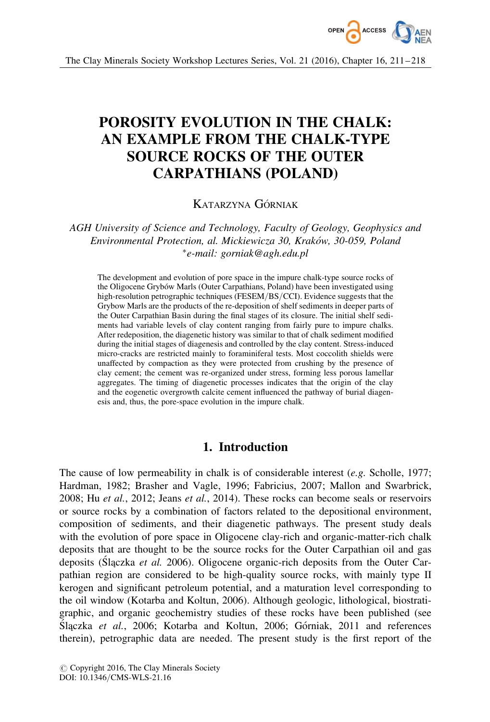

# POROSITY EVOLUTION IN THE CHALK: AN EXAMPLE FROM THE CHALK-TYPE SOURCE ROCKS OF THE OUTER CARPATHIANS (POLAND)

# KATARZYNA GÓRNIAK

AGH University of Science and Technology, Faculty of Geology, Geophysics and Environmental Protection, al. Mickiewicza 30, Kraków, 30-059, Poland -e-mail: gorniak@agh.edu.pl

The development and evolution of pore space in the impure chalk-type source rocks of the Oligocene Grybów Marls (Outer Carpathians, Poland) have been investigated using high-resolution petrographic techniques (FESEM/BS/CCI). Evidence suggests that the Grybow Marls are the products of the re-deposition of shelf sediments in deeper parts of the Outer Carpathian Basin during the final stages of its closure. The initial shelf sediments had variable levels of clay content ranging from fairly pure to impure chalks. After redeposition, the diagenetic history was similar to that of chalk sediment modified during the initial stages of diagenesis and controlled by the clay content. Stress-induced micro-cracks are restricted mainly to foraminiferal tests. Most coccolith shields were unaffected by compaction as they were protected from crushing by the presence of clay cement; the cement was re-organized under stress, forming less porous lamellar aggregates. The timing of diagenetic processes indicates that the origin of the clay and the eogenetic overgrowth calcite cement influenced the pathway of burial diagenesis and, thus, the pore-space evolution in the impure chalk.

# 1. Introduction

The cause of low permeability in chalk is of considerable interest (e.g. Scholle, 1977; Hardman, 1982; Brasher and Vagle, 1996; Fabricius, 2007; Mallon and Swarbrick, 2008; Hu et al., 2012; Jeans et al., 2014). These rocks can become seals or reservoirs or source rocks by a combination of factors related to the depositional environment, composition of sediments, and their diagenetic pathways. The present study deals with the evolution of pore space in Oligocene clay-rich and organic-matter-rich chalk deposits that are thought to be the source rocks for the Outer Carpathian oil and gas deposits (Slaczka *et al.* 2006). Oligocene organic-rich deposits from the Outer Carpathian region are considered to be high-quality source rocks, with mainly type II kerogen and significant petroleum potential, and a maturation level corresponding to the oil window (Kotarba and Koltun, 2006). Although geologic, lithological, biostratigraphic, and organic geochemistry studies of these rocks have been published (see Staczka et al., 2006; Kotarba and Koltun, 2006; Górniak, 2011 and references therein), petrographic data are needed. The present study is the first report of the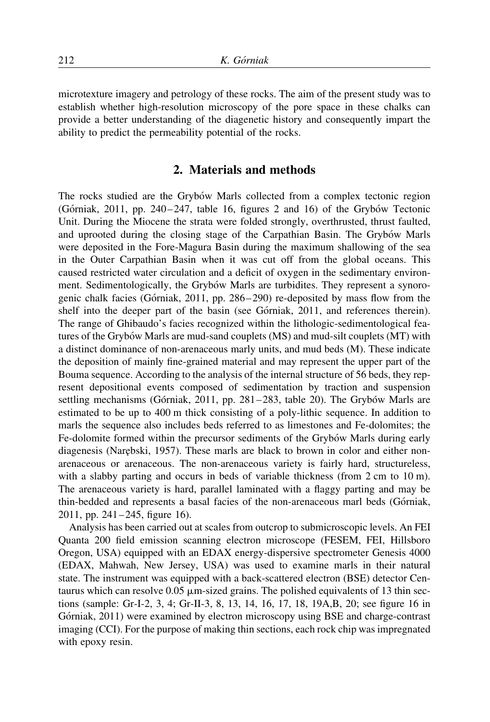microtexture imagery and petrology of these rocks. The aim of the present study was to establish whether high-resolution microscopy of the pore space in these chalks can provide a better understanding of the diagenetic history and consequently impart the ability to predict the permeability potential of the rocks.

## 2. Materials and methods

The rocks studied are the Grybow Marls collected from a complex tectonic region (Górniak, 2011, pp.  $240-247$ , table 16, figures 2 and 16) of the Grybów Tectonic Unit. During the Miocene the strata were folded strongly, overthrusted, thrust faulted, and uprooted during the closing stage of the Carpathian Basin. The Grybów Marls were deposited in the Fore-Magura Basin during the maximum shallowing of the sea in the Outer Carpathian Basin when it was cut off from the global oceans. This caused restricted water circulation and a deficit of oxygen in the sedimentary environment. Sedimentologically, the Grybów Marls are turbidites. They represent a synorogenic chalk facies (Górniak, 2011, pp. 286-290) re-deposited by mass flow from the shelf into the deeper part of the basin (see Górniak, 2011, and references therein). The range of Ghibaudo's facies recognized within the lithologic-sedimentological features of the Grybów Marls are mud-sand couplets (MS) and mud-silt couplets (MT) with a distinct dominance of non-arenaceous marly units, and mud beds (M). These indicate the deposition of mainly fine-grained material and may represent the upper part of the Bouma sequence. According to the analysis of the internal structure of 56 beds, they represent depositional events composed of sedimentation by traction and suspension settling mechanisms (Górniak, 2011, pp.  $281-283$ , table 20). The Grybów Marls are estimated to be up to 400 m thick consisting of a poly-lithic sequence. In addition to marls the sequence also includes beds referred to as limestones and Fe-dolomites; the Fe-dolomite formed within the precursor sediments of the Grybot Marls during early diagenesis (Nare˛bski, 1957). These marls are black to brown in color and either nonarenaceous or arenaceous. The non-arenaceous variety is fairly hard, structureless, with a slabby parting and occurs in beds of variable thickness (from 2 cm to 10 m). The arenaceous variety is hard, parallel laminated with a flaggy parting and may be thin-bedded and represents a basal facies of the non-arenaceous marl beds (Górniak, 2011, pp. 241–245, figure 16).

Analysis has been carried out at scales from outcrop to submicroscopic levels. An FEI Quanta 200 field emission scanning electron microscope (FESEM, FEI, Hillsboro Oregon, USA) equipped with an EDAX energy-dispersive spectrometer Genesis 4000 (EDAX, Mahwah, New Jersey, USA) was used to examine marls in their natural state. The instrument was equipped with a back-scattered electron (BSE) detector Centaurus which can resolve  $0.05 \mu m$ -sized grains. The polished equivalents of 13 thin sections (sample: Gr-I-2, 3, 4; Gr-II-3, 8, 13, 14, 16, 17, 18, 19A,B, 20; see figure 16 in Górniak, 2011) were examined by electron microscopy using BSE and charge-contrast imaging (CCI). For the purpose of making thin sections, each rock chip was impregnated with epoxy resin.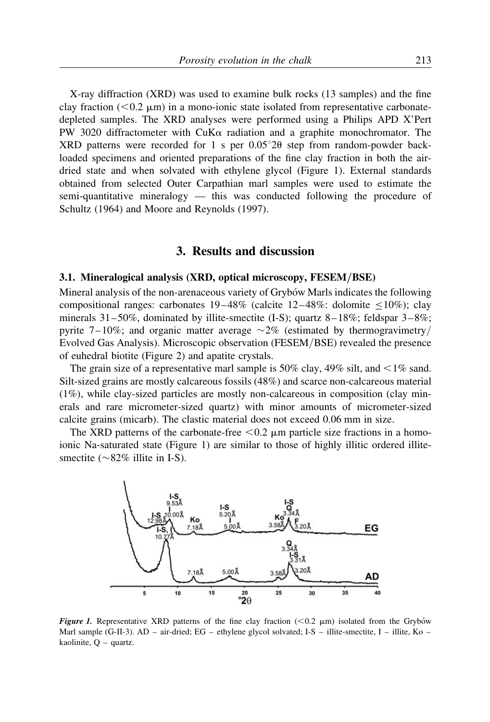X-ray diffraction (XRD) was used to examine bulk rocks (13 samples) and the fine clay fraction ( $< 0.2 \mu m$ ) in a mono-ionic state isolated from representative carbonatedepleted samples. The XRD analyses were performed using a Philips APD X'Pert PW 3020 diffractometer with CuK $\alpha$  radiation and a graphite monochromator. The XRD patterns were recorded for 1 s per  $0.05^{\circ}2\theta$  step from random-powder backloaded specimens and oriented preparations of the fine clay fraction in both the airdried state and when solvated with ethylene glycol (Figure 1). External standards obtained from selected Outer Carpathian marl samples were used to estimate the semi-quantitative mineralogy — this was conducted following the procedure of Schultz (1964) and Moore and Reynolds (1997).

#### 3. Results and discussion

#### 3.1. Mineralogical analysis (XRD, optical microscopy, FESEM/BSE)

Mineral analysis of the non-arenaceous variety of Grybo´w Marls indicates the following compositional ranges: carbonates  $19-48\%$  (calcite  $12-48\%$ : dolomite  $\leq 10\%$ ); clay minerals  $31-50\%$ , dominated by illite-smectite (I-S); quartz  $8-18\%$ ; feldspar  $3-8\%$ ; pyrite 7–10%; and organic matter average  $\sim$ 2% (estimated by thermogravimetry/ Evolved Gas Analysis). Microscopic observation (FESEM/BSE) revealed the presence of euhedral biotite (Figure 2) and apatite crystals.

The grain size of a representative marl sample is 50% clay, 49% silt, and  $\leq$ 1% sand. Silt-sized grains are mostly calcareous fossils (48%) and scarce non-calcareous material (1%), while clay-sized particles are mostly non-calcareous in composition (clay minerals and rare micrometer-sized quartz) with minor amounts of micrometer-sized calcite grains (micarb). The clastic material does not exceed 0.06 mm in size.

The XRD patterns of the carbonate-free  $< 0.2 \mu$ m particle size fractions in a homoionic Na-saturated state (Figure 1) are similar to those of highly illitic ordered illitesmectite ( $\sim$ 82% illite in I-S).



Figure 1. Representative XRD patterns of the fine clay fraction ( $< 0.2 \mu m$ ) isolated from the Grybów Marl sample (G-II-3). AD – air-dried; EG – ethylene glycol solvated; I-S – illite-smectite, I – illite, Ko – kaolinite, Q – quartz.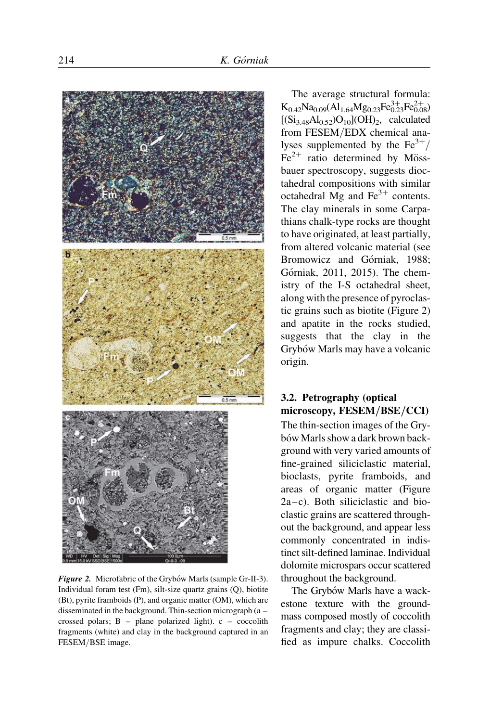

Figure 2. Microfabric of the Grybów Marls (sample Gr-II-3). Individual foram test (Fm), silt-size quartz grains (Q), biotite (Bt), pyrite framboids (P), and organic matter (OM), which are disseminated in the background. Thin-section micrograph (a – crossed polars; B – plane polarized light). c – coccolith fragments (white) and clay in the background captured in an FESEM/BSE image.

The average structural formula:  $K_{0.42}Na_{0.09}(Al_{1.64}Mg_{0.23}Fe_{0.23}^{3+}Fe_{0.08}^{2+})$  $[(Si<sub>3.48</sub>Al<sub>0.52</sub>)O<sub>10</sub>](OH)<sub>2</sub>, calculated$ from FESEM/EDX chemical analyses supplemented by the  $Fe^{3+}/$  $Fe<sup>2+</sup>$  ratio determined by Mössbauer spectroscopy, suggests dioctahedral compositions with similar octahedral Mg and  $Fe<sup>3+</sup>$  contents. The clay minerals in some Carpathians chalk-type rocks are thought to have originated, at least partially, from altered volcanic material (see Bromowicz and Górniak, 1988; Górniak, 2011, 2015). The chemistry of the I-S octahedral sheet, along with the presence of pyroclastic grains such as biotite (Figure 2) and apatite in the rocks studied, suggests that the clay in the Grybów Marls may have a volcanic origin.

#### 3.2. Petrography (optical microscopy, FESEM/BSE/CCI)

The thin-section images of the Grybów Marls show a dark brown background with very varied amounts of fine-grained siliciclastic material, bioclasts, pyrite framboids, and areas of organic matter (Figure 2a–c). Both siliciclastic and bioclastic grains are scattered throughout the background, and appear less commonly concentrated in indistinct silt-defined laminae. Individual dolomite microspars occur scattered throughout the background.

The Grybów Marls have a wackestone texture with the groundmass composed mostly of coccolith fragments and clay; they are classified as impure chalks. Coccolith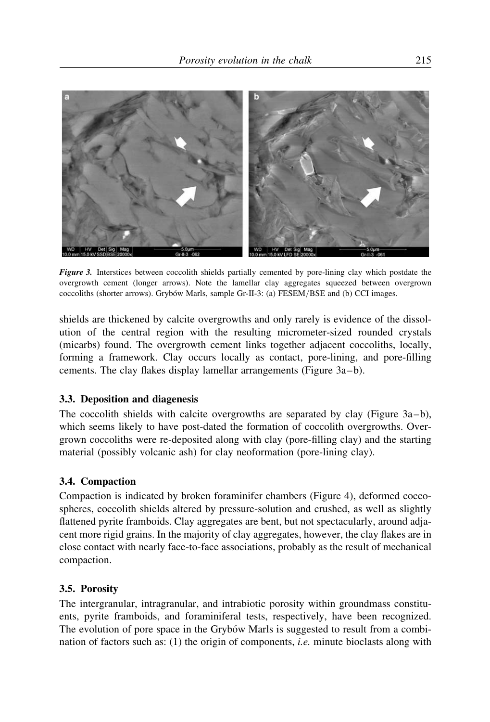

Figure 3. Interstices between coccolith shields partially cemented by pore-lining clay which postdate the overgrowth cement (longer arrows). Note the lamellar clay aggregates squeezed between overgrown coccoliths (shorter arrows). Grybów Marls, sample Gr-II-3: (a) FESEM/BSE and (b) CCI images.

shields are thickened by calcite overgrowths and only rarely is evidence of the dissolution of the central region with the resulting micrometer-sized rounded crystals (micarbs) found. The overgrowth cement links together adjacent coccoliths, locally, forming a framework. Clay occurs locally as contact, pore-lining, and pore-filling cements. The clay flakes display lamellar arrangements (Figure 3a–b).

#### 3.3. Deposition and diagenesis

The coccolith shields with calcite overgrowths are separated by clay (Figure  $3a-b$ ), which seems likely to have post-dated the formation of coccolith overgrowths. Overgrown coccoliths were re-deposited along with clay (pore-filling clay) and the starting material (possibly volcanic ash) for clay neoformation (pore-lining clay).

#### 3.4. Compaction

Compaction is indicated by broken foraminifer chambers (Figure 4), deformed coccospheres, coccolith shields altered by pressure-solution and crushed, as well as slightly flattened pyrite framboids. Clay aggregates are bent, but not spectacularly, around adjacent more rigid grains. In the majority of clay aggregates, however, the clay flakes are in close contact with nearly face-to-face associations, probably as the result of mechanical compaction.

#### 3.5. Porosity

The intergranular, intragranular, and intrabiotic porosity within groundmass constituents, pyrite framboids, and foraminiferal tests, respectively, have been recognized. The evolution of pore space in the Grybo'w Marls is suggested to result from a combination of factors such as: (1) the origin of components, i.e. minute bioclasts along with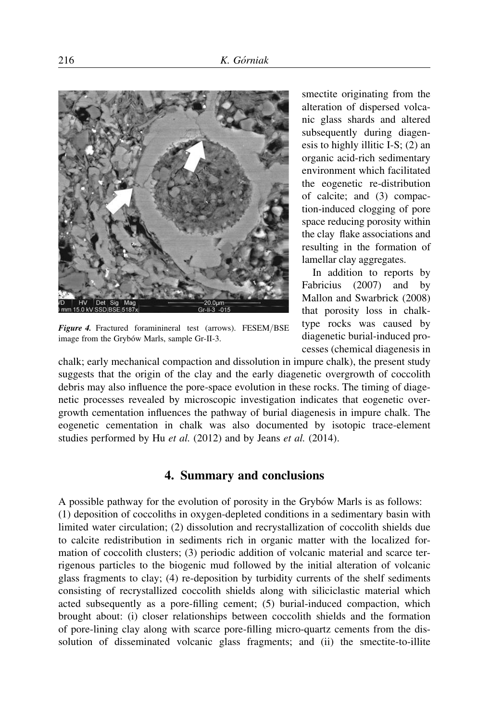

Figure 4. Fractured foraminineral test (arrows). FESEM/BSE image from the Grybów Marls, sample Gr-II-3.

smectite originating from the alteration of dispersed volcanic glass shards and altered subsequently during diagenesis to highly illitic I-S; (2) an organic acid-rich sedimentary environment which facilitated the eogenetic re-distribution of calcite; and (3) compaction-induced clogging of pore space reducing porosity within the clay flake associations and resulting in the formation of lamellar clay aggregates.

In addition to reports by Fabricius (2007) and by Mallon and Swarbrick (2008) that porosity loss in chalktype rocks was caused by diagenetic burial-induced processes (chemical diagenesis in

chalk; early mechanical compaction and dissolution in impure chalk), the present study suggests that the origin of the clay and the early diagenetic overgrowth of coccolith debris may also influence the pore-space evolution in these rocks. The timing of diagenetic processes revealed by microscopic investigation indicates that eogenetic overgrowth cementation influences the pathway of burial diagenesis in impure chalk. The eogenetic cementation in chalk was also documented by isotopic trace-element studies performed by Hu et al. (2012) and by Jeans et al. (2014).

#### 4. Summary and conclusions

A possible pathway for the evolution of porosity in the Grybów Marls is as follows: (1) deposition of coccoliths in oxygen-depleted conditions in a sedimentary basin with limited water circulation; (2) dissolution and recrystallization of coccolith shields due to calcite redistribution in sediments rich in organic matter with the localized formation of coccolith clusters; (3) periodic addition of volcanic material and scarce terrigenous particles to the biogenic mud followed by the initial alteration of volcanic glass fragments to clay; (4) re-deposition by turbidity currents of the shelf sediments consisting of recrystallized coccolith shields along with siliciclastic material which acted subsequently as a pore-filling cement; (5) burial-induced compaction, which brought about: (i) closer relationships between coccolith shields and the formation of pore-lining clay along with scarce pore-filling micro-quartz cements from the dissolution of disseminated volcanic glass fragments; and (ii) the smectite-to-illite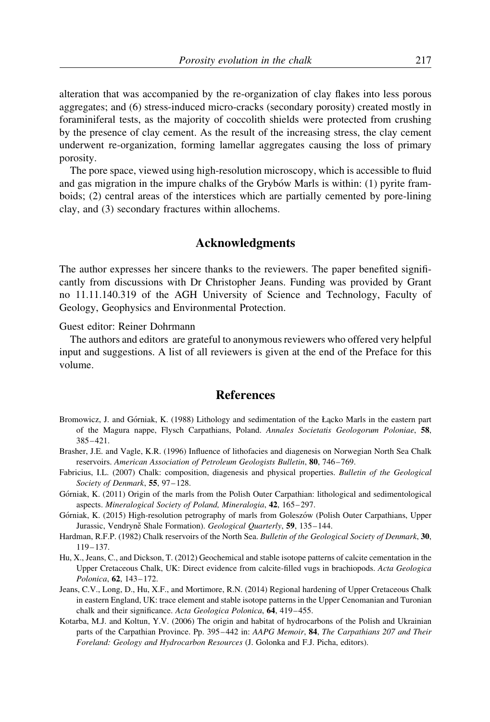alteration that was accompanied by the re-organization of clay flakes into less porous aggregates; and (6) stress-induced micro-cracks (secondary porosity) created mostly in foraminiferal tests, as the majority of coccolith shields were protected from crushing by the presence of clay cement. As the result of the increasing stress, the clay cement underwent re-organization, forming lamellar aggregates causing the loss of primary porosity.

The pore space, viewed using high-resolution microscopy, which is accessible to fluid and gas migration in the impure chalks of the Grybow Marls is within: (1) pyrite framboids; (2) central areas of the interstices which are partially cemented by pore-lining clay, and (3) secondary fractures within allochems.

#### Acknowledgments

The author expresses her sincere thanks to the reviewers. The paper benefited significantly from discussions with Dr Christopher Jeans. Funding was provided by Grant no 11.11.140.319 of the AGH University of Science and Technology, Faculty of Geology, Geophysics and Environmental Protection.

Guest editor: Reiner Dohrmann

The authors and editors are grateful to anonymous reviewers who offered very helpful input and suggestions. A list of all reviewers is given at the end of the Preface for this volume.

## **References**

- Bromowicz, J. and Górniak, K. (1988) Lithology and sedimentation of the Łacko Marls in the eastern part of the Magura nappe, Flysch Carpathians, Poland. Annales Societatis Geologorum Poloniae, 58, 385–421.
- Brasher, J.E. and Vagle, K.R. (1996) Influence of lithofacies and diagenesis on Norwegian North Sea Chalk reservoirs. American Association of Petroleum Geologists Bulletin, 80, 746–769.
- Fabricius, I.L. (2007) Chalk: composition, diagenesis and physical properties. Bulletin of the Geological Society of Denmark, 55, 97–128.
- Górniak, K. (2011) Origin of the marls from the Polish Outer Carpathian: lithological and sedimentological aspects. Mineralogical Society of Poland, Mineralogia, 42, 165–297.
- Górniak, K. (2015) High-resolution petrography of marls from Goleszów (Polish Outer Carpathians, Upper Jurassic, Vendryně Shale Formation). Geological Quarterly, 59, 135-144.
- Hardman, R.F.P. (1982) Chalk reservoirs of the North Sea. Bulletin of the Geological Society of Denmark, 30, 119–137.
- Hu, X., Jeans, C., and Dickson, T. (2012) Geochemical and stable isotope patterns of calcite cementation in the Upper Cretaceous Chalk, UK: Direct evidence from calcite-filled vugs in brachiopods. Acta Geologica Polonica, 62, 143–172.
- Jeans, C.V., Long, D., Hu, X.F., and Mortimore, R.N. (2014) Regional hardening of Upper Cretaceous Chalk in eastern England, UK: trace element and stable isotope patterns in the Upper Cenomanian and Turonian chalk and their significance. Acta Geologica Polonica, 64, 419–455.
- Kotarba, M.J. and Koltun, Y.V. (2006) The origin and habitat of hydrocarbons of the Polish and Ukrainian parts of the Carpathian Province. Pp. 395–442 in: AAPG Memoir, 84, The Carpathians 207 and Their Foreland: Geology and Hydrocarbon Resources (J. Golonka and F.J. Picha, editors).